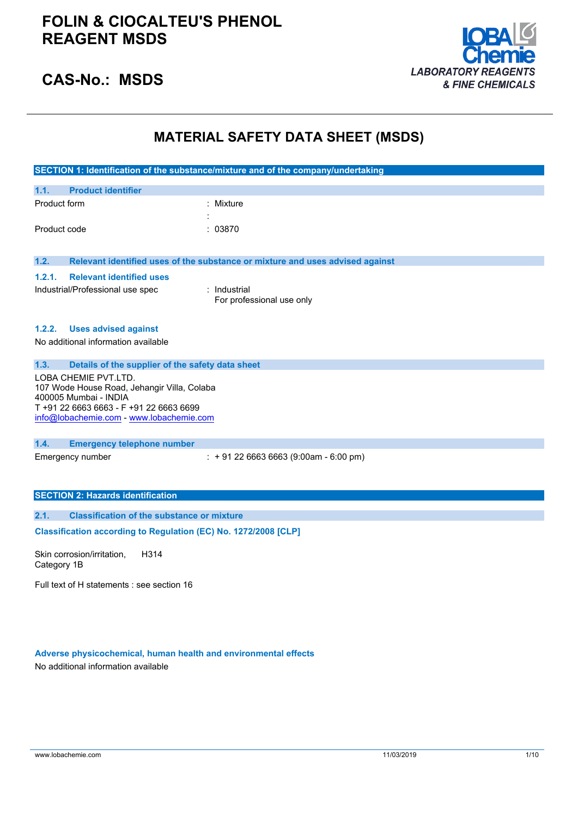

## **CAS-No.: MSDS**

## **MATERIAL SAFETY DATA SHEET (MSDS)**

|              |                                                                                     | SECTION 1: Identification of the substance/mixture and of the company/undertaking |
|--------------|-------------------------------------------------------------------------------------|-----------------------------------------------------------------------------------|
| 1.1.         | <b>Product identifier</b>                                                           |                                                                                   |
| Product form |                                                                                     | : Mixture                                                                         |
|              |                                                                                     |                                                                                   |
| Product code |                                                                                     | : 03870                                                                           |
| 1.2.         |                                                                                     | Relevant identified uses of the substance or mixture and uses advised against     |
|              |                                                                                     |                                                                                   |
| 1.2.1.       | <b>Relevant identified uses</b>                                                     |                                                                                   |
|              | Industrial/Professional use spec                                                    | : Industrial<br>For professional use only                                         |
|              |                                                                                     |                                                                                   |
| 1.2.2.       | <b>Uses advised against</b>                                                         |                                                                                   |
|              | No additional information available                                                 |                                                                                   |
|              |                                                                                     |                                                                                   |
| 1.3.         | Details of the supplier of the safety data sheet                                    |                                                                                   |
|              | LOBA CHEMIE PVT.LTD.                                                                |                                                                                   |
|              | 107 Wode House Road, Jehangir Villa, Colaba                                         |                                                                                   |
|              | 400005 Mumbai - INDIA                                                               |                                                                                   |
|              | T +91 22 6663 6663 - F +91 22 6663 6699<br>info@lobachemie.com - www.lobachemie.com |                                                                                   |
|              |                                                                                     |                                                                                   |
| 1.4.         | <b>Emergency telephone number</b>                                                   |                                                                                   |
|              | Emergency number                                                                    | $: +912266636663(9:00am - 6:00 pm)$                                               |
|              |                                                                                     |                                                                                   |
|              |                                                                                     |                                                                                   |
|              | <b>SECTION 2: Hazards identification</b>                                            |                                                                                   |
| 2.1.         | <b>Classification of the substance or mixture</b>                                   |                                                                                   |
|              | Classification according to Regulation (EC) No. 1272/2008 [CLP]                     |                                                                                   |
|              |                                                                                     |                                                                                   |

Skin corrosion/irritation, Category 1B H314

Full text of H statements : see section 16

### **Adverse physicochemical, human health and environmental effects**

No additional information available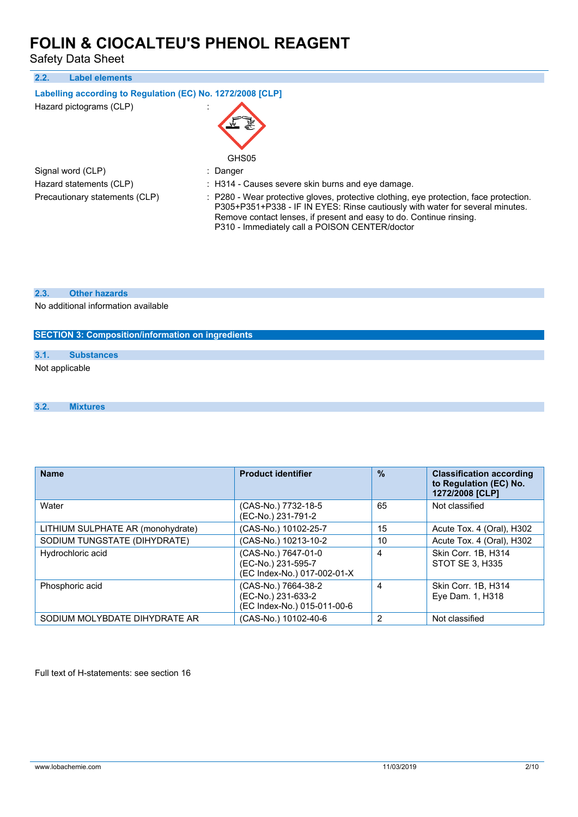Safety Data Sheet

| 2.2.<br><b>Label elements</b>                              |                                                                                                                                                                                                                                                                                                  |  |  |  |
|------------------------------------------------------------|--------------------------------------------------------------------------------------------------------------------------------------------------------------------------------------------------------------------------------------------------------------------------------------------------|--|--|--|
| Labelling according to Regulation (EC) No. 1272/2008 [CLP] |                                                                                                                                                                                                                                                                                                  |  |  |  |
| Hazard pictograms (CLP)                                    | GHS05                                                                                                                                                                                                                                                                                            |  |  |  |
| Signal word (CLP)                                          | : Danger                                                                                                                                                                                                                                                                                         |  |  |  |
| Hazard statements (CLP)                                    | : H314 - Causes severe skin burns and eve damage.                                                                                                                                                                                                                                                |  |  |  |
| Precautionary statements (CLP)                             | : P280 - Wear protective gloves, protective clothing, eye protection, face protection.<br>P305+P351+P338 - IF IN EYES: Rinse cautiously with water for several minutes.<br>Remove contact lenses, if present and easy to do. Continue rinsing.<br>P310 - Immediately call a POISON CENTER/doctor |  |  |  |

**2.3. Other hazards**

No additional information available

### **SECTION 3: Composition/information on ingredients**

### **3.1. Substances**

Not applicable

#### **3.2. Mixtures**

| <b>Name</b>                       | <b>Product identifier</b>                                                | $\frac{9}{6}$  | <b>Classification according</b><br>to Regulation (EC) No.<br>1272/2008 [CLP] |
|-----------------------------------|--------------------------------------------------------------------------|----------------|------------------------------------------------------------------------------|
| Water                             | (CAS-No.) 7732-18-5<br>(EC-No.) 231-791-2                                | 65             | Not classified                                                               |
| LITHIUM SULPHATE AR (monohydrate) | (CAS-No.) 10102-25-7                                                     | 15             | Acute Tox. 4 (Oral), H302                                                    |
| SODIUM TUNGSTATE (DIHYDRATE)      | (CAS-No.) 10213-10-2                                                     | 10             | Acute Tox. 4 (Oral), H302                                                    |
| Hydrochloric acid                 | (CAS-No.) 7647-01-0<br>(EC-No.) 231-595-7<br>(EC Index-No.) 017-002-01-X | 4              | Skin Corr. 1B, H314<br>STOT SE 3. H335                                       |
| Phosphoric acid                   | (CAS-No.) 7664-38-2<br>(EC-No.) 231-633-2<br>(EC Index-No.) 015-011-00-6 | 4              | Skin Corr. 1B, H314<br>Eye Dam. 1, H318                                      |
| SODIUM MOLYBDATE DIHYDRATE AR     | (CAS-No.) 10102-40-6                                                     | $\overline{2}$ | Not classified                                                               |

Full text of H-statements: see section 16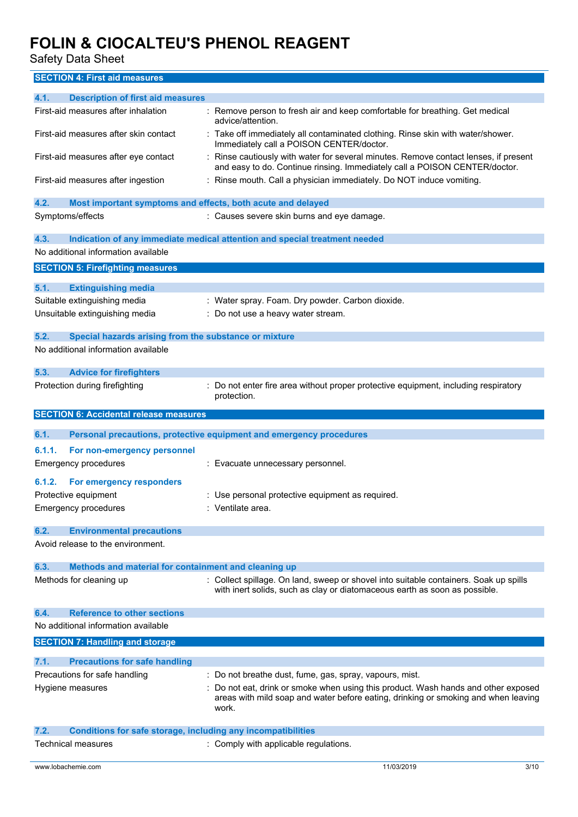Safety Data Sheet

**SECTION 4: First aid measures**

| 4.1.<br><b>Description of first aid measures</b>                            |                                                                                                                                                                                 |
|-----------------------------------------------------------------------------|---------------------------------------------------------------------------------------------------------------------------------------------------------------------------------|
| First-aid measures after inhalation                                         | : Remove person to fresh air and keep comfortable for breathing. Get medical<br>advice/attention.                                                                               |
| First-aid measures after skin contact                                       | : Take off immediately all contaminated clothing. Rinse skin with water/shower.<br>Immediately call a POISON CENTER/doctor.                                                     |
| First-aid measures after eye contact                                        | Rinse cautiously with water for several minutes. Remove contact lenses, if present<br>and easy to do. Continue rinsing. Immediately call a POISON CENTER/doctor.                |
| First-aid measures after ingestion                                          | : Rinse mouth. Call a physician immediately. Do NOT induce vomiting.                                                                                                            |
| 4.2.<br>Most important symptoms and effects, both acute and delayed         |                                                                                                                                                                                 |
| Symptoms/effects                                                            | : Causes severe skin burns and eye damage.                                                                                                                                      |
| 4.3.                                                                        | Indication of any immediate medical attention and special treatment needed                                                                                                      |
| No additional information available                                         |                                                                                                                                                                                 |
| <b>SECTION 5: Firefighting measures</b>                                     |                                                                                                                                                                                 |
|                                                                             |                                                                                                                                                                                 |
| 5.1.<br><b>Extinguishing media</b><br>Suitable extinguishing media          |                                                                                                                                                                                 |
|                                                                             | : Water spray. Foam. Dry powder. Carbon dioxide.                                                                                                                                |
| Unsuitable extinguishing media                                              | : Do not use a heavy water stream.                                                                                                                                              |
| 5.2.<br>Special hazards arising from the substance or mixture               |                                                                                                                                                                                 |
| No additional information available                                         |                                                                                                                                                                                 |
|                                                                             |                                                                                                                                                                                 |
| 5.3.<br><b>Advice for firefighters</b>                                      |                                                                                                                                                                                 |
| Protection during firefighting                                              | Do not enter fire area without proper protective equipment, including respiratory                                                                                               |
|                                                                             | protection.                                                                                                                                                                     |
| <b>SECTION 6: Accidental release measures</b>                               |                                                                                                                                                                                 |
|                                                                             |                                                                                                                                                                                 |
|                                                                             |                                                                                                                                                                                 |
| 6.1.                                                                        | Personal precautions, protective equipment and emergency procedures                                                                                                             |
|                                                                             |                                                                                                                                                                                 |
| 6.1.1.<br>For non-emergency personnel                                       |                                                                                                                                                                                 |
| <b>Emergency procedures</b>                                                 | : Evacuate unnecessary personnel.                                                                                                                                               |
| For emergency responders<br>6.1.2.                                          |                                                                                                                                                                                 |
| Protective equipment                                                        | : Use personal protective equipment as required.                                                                                                                                |
| <b>Emergency procedures</b>                                                 | : Ventilate area.                                                                                                                                                               |
|                                                                             |                                                                                                                                                                                 |
| 6.2.<br><b>Environmental precautions</b>                                    |                                                                                                                                                                                 |
| Avoid release to the environment.                                           |                                                                                                                                                                                 |
|                                                                             |                                                                                                                                                                                 |
| 6.3.<br>Methods and material for containment and cleaning up                |                                                                                                                                                                                 |
| Methods for cleaning up                                                     | : Collect spillage. On land, sweep or shovel into suitable containers. Soak up spills                                                                                           |
|                                                                             | with inert solids, such as clay or diatomaceous earth as soon as possible.                                                                                                      |
| <b>Reference to other sections</b><br>6.4.                                  |                                                                                                                                                                                 |
| No additional information available                                         |                                                                                                                                                                                 |
| <b>SECTION 7: Handling and storage</b>                                      |                                                                                                                                                                                 |
|                                                                             |                                                                                                                                                                                 |
| <b>Precautions for safe handling</b><br>7.1.                                |                                                                                                                                                                                 |
| Precautions for safe handling                                               | Do not breathe dust, fume, gas, spray, vapours, mist.                                                                                                                           |
| Hygiene measures                                                            | Do not eat, drink or smoke when using this product. Wash hands and other exposed<br>areas with mild soap and water before eating, drinking or smoking and when leaving<br>work. |
| 7.2.<br><b>Conditions for safe storage, including any incompatibilities</b> |                                                                                                                                                                                 |
| Technical measures                                                          | : Comply with applicable regulations.                                                                                                                                           |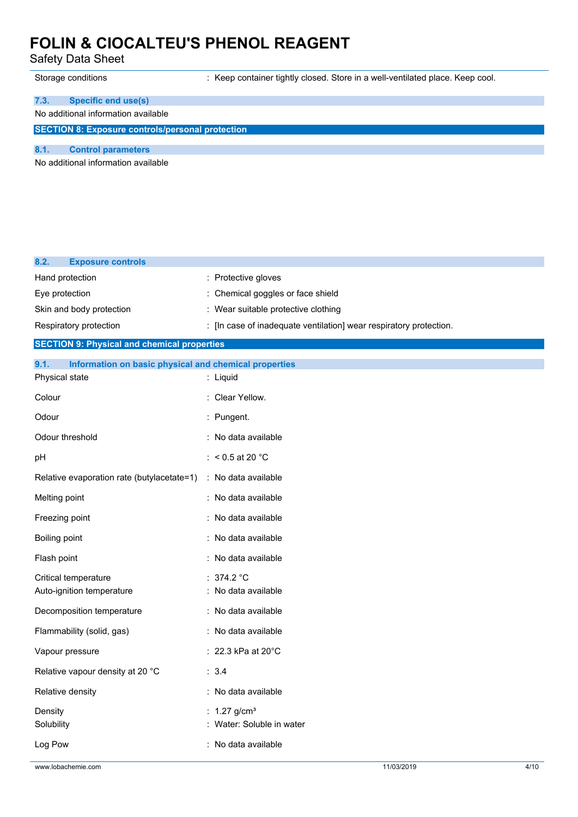Safety Data Sheet

Storage conditions : Keep container tightly closed. Store in a well-ventilated place. Keep cool.

### **7.3. Specific end use(s)**

### No additional information available

**SECTION 8: Exposure controls/personal protection**

#### **8.1. Control parameters**

No additional information available

| 8.2.<br><b>Exposure controls</b>                              |                                                                    |  |  |  |
|---------------------------------------------------------------|--------------------------------------------------------------------|--|--|--|
| Hand protection                                               | : Protective gloves                                                |  |  |  |
| Eye protection                                                | : Chemical goggles or face shield                                  |  |  |  |
| Skin and body protection                                      | : Wear suitable protective clothing                                |  |  |  |
| Respiratory protection                                        | : [In case of inadequate ventilation] wear respiratory protection. |  |  |  |
| <b>SECTION 9: Physical and chemical properties</b>            |                                                                    |  |  |  |
| 9.1.<br>Information on basic physical and chemical properties |                                                                    |  |  |  |
| Physical state                                                | : Liquid                                                           |  |  |  |
| Colour                                                        | : Clear Yellow.                                                    |  |  |  |
| Odour                                                         | : Pungent.                                                         |  |  |  |
| Odour threshold                                               | : No data available                                                |  |  |  |
| pH                                                            | : < $0.5$ at 20 °C                                                 |  |  |  |
| Relative evaporation rate (butylacetate=1)                    | : No data available                                                |  |  |  |
| Melting point                                                 | : No data available                                                |  |  |  |
| Freezing point                                                | : No data available                                                |  |  |  |
| Boiling point                                                 | : No data available                                                |  |  |  |
| Flash point                                                   | : No data available                                                |  |  |  |
| Critical temperature                                          | : $374.2$ °C                                                       |  |  |  |
| Auto-ignition temperature                                     | : No data available                                                |  |  |  |
| Decomposition temperature                                     | : No data available                                                |  |  |  |
| Flammability (solid, gas)                                     | : No data available                                                |  |  |  |
| Vapour pressure                                               | : 22.3 kPa at 20°C                                                 |  |  |  |
| Relative vapour density at 20 °C                              | : 3.4                                                              |  |  |  |
| Relative density                                              | : No data available                                                |  |  |  |
| Density                                                       | : $1.27$ g/cm <sup>3</sup>                                         |  |  |  |
| Solubility                                                    | : Water: Soluble in water                                          |  |  |  |
| Log Pow                                                       | : No data available                                                |  |  |  |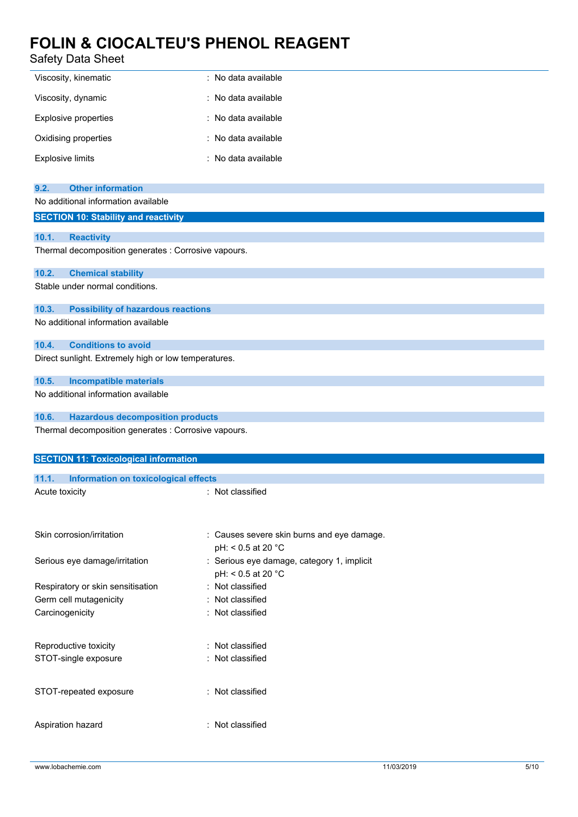### Safety Data Sheet

| Viscosity, kinematic    | : No data available |
|-------------------------|---------------------|
| Viscosity, dynamic      | : No data available |
| Explosive properties    | : No data available |
| Oxidising properties    | : No data available |
| <b>Explosive limits</b> | : No data available |

| <b>Other information</b><br>9.2.                     |                                                                |  |  |  |
|------------------------------------------------------|----------------------------------------------------------------|--|--|--|
| No additional information available                  |                                                                |  |  |  |
| <b>SECTION 10: Stability and reactivity</b>          |                                                                |  |  |  |
|                                                      |                                                                |  |  |  |
| 10.1.<br><b>Reactivity</b>                           |                                                                |  |  |  |
| Thermal decomposition generates : Corrosive vapours. |                                                                |  |  |  |
| 10.2.<br><b>Chemical stability</b>                   |                                                                |  |  |  |
| Stable under normal conditions.                      |                                                                |  |  |  |
|                                                      |                                                                |  |  |  |
| <b>Possibility of hazardous reactions</b><br>10.3.   |                                                                |  |  |  |
| No additional information available                  |                                                                |  |  |  |
| <b>Conditions to avoid</b><br>10.4.                  |                                                                |  |  |  |
| Direct sunlight. Extremely high or low temperatures. |                                                                |  |  |  |
|                                                      |                                                                |  |  |  |
| 10.5.<br><b>Incompatible materials</b>               |                                                                |  |  |  |
| No additional information available                  |                                                                |  |  |  |
|                                                      |                                                                |  |  |  |
| 10.6.<br><b>Hazardous decomposition products</b>     |                                                                |  |  |  |
| Thermal decomposition generates : Corrosive vapours. |                                                                |  |  |  |
|                                                      |                                                                |  |  |  |
|                                                      |                                                                |  |  |  |
| <b>SECTION 11: Toxicological information</b>         |                                                                |  |  |  |
| 11.1.<br>Information on toxicological effects        |                                                                |  |  |  |
| Acute toxicity                                       | : Not classified                                               |  |  |  |
|                                                      |                                                                |  |  |  |
|                                                      |                                                                |  |  |  |
| Skin corrosion/irritation                            |                                                                |  |  |  |
|                                                      | Causes severe skin burns and eye damage.<br>pH: < 0.5 at 20 °C |  |  |  |
| Serious eye damage/irritation                        | : Serious eye damage, category 1, implicit                     |  |  |  |
|                                                      | pH: < 0.5 at 20 °C                                             |  |  |  |
| Respiratory or skin sensitisation                    | : Not classified                                               |  |  |  |
| Germ cell mutagenicity                               | Not classified                                                 |  |  |  |
| Carcinogenicity                                      | Not classified                                                 |  |  |  |
|                                                      |                                                                |  |  |  |
|                                                      |                                                                |  |  |  |
| Reproductive toxicity                                | : Not classified                                               |  |  |  |
| STOT-single exposure                                 | : Not classified                                               |  |  |  |
| STOT-repeated exposure                               | : Not classified                                               |  |  |  |

Aspiration hazard : Not classified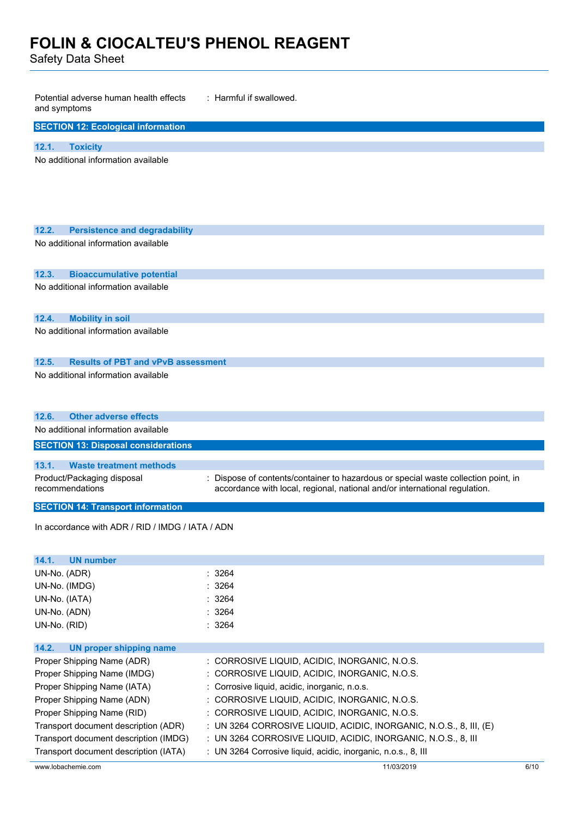Safety Data Sheet

| : Harmful if swallowed.<br>Potential adverse human health effects<br>and symptoms |                                                                                                                                                                  |  |  |
|-----------------------------------------------------------------------------------|------------------------------------------------------------------------------------------------------------------------------------------------------------------|--|--|
| <b>SECTION 12: Ecological information</b>                                         |                                                                                                                                                                  |  |  |
| 12.1.<br><b>Toxicity</b>                                                          |                                                                                                                                                                  |  |  |
| No additional information available                                               |                                                                                                                                                                  |  |  |
|                                                                                   |                                                                                                                                                                  |  |  |
|                                                                                   |                                                                                                                                                                  |  |  |
|                                                                                   |                                                                                                                                                                  |  |  |
| 12.2.<br><b>Persistence and degradability</b>                                     |                                                                                                                                                                  |  |  |
| No additional information available                                               |                                                                                                                                                                  |  |  |
|                                                                                   |                                                                                                                                                                  |  |  |
| 12.3.<br><b>Bioaccumulative potential</b>                                         |                                                                                                                                                                  |  |  |
| No additional information available                                               |                                                                                                                                                                  |  |  |
|                                                                                   |                                                                                                                                                                  |  |  |
| 12.4.<br><b>Mobility in soil</b>                                                  |                                                                                                                                                                  |  |  |
| No additional information available                                               |                                                                                                                                                                  |  |  |
|                                                                                   |                                                                                                                                                                  |  |  |
| 12.5.<br><b>Results of PBT and vPvB assessment</b>                                |                                                                                                                                                                  |  |  |
| No additional information available                                               |                                                                                                                                                                  |  |  |
|                                                                                   |                                                                                                                                                                  |  |  |
|                                                                                   |                                                                                                                                                                  |  |  |
| <b>Other adverse effects</b><br>12.6.<br>No additional information available      |                                                                                                                                                                  |  |  |
| <b>SECTION 13: Disposal considerations</b>                                        |                                                                                                                                                                  |  |  |
|                                                                                   |                                                                                                                                                                  |  |  |
| 13.1.<br><b>Waste treatment methods</b>                                           |                                                                                                                                                                  |  |  |
| Product/Packaging disposal<br>recommendations                                     | : Dispose of contents/container to hazardous or special waste collection point, in<br>accordance with local, regional, national and/or international regulation. |  |  |
| <b>SECTION 14: Transport information</b>                                          |                                                                                                                                                                  |  |  |
|                                                                                   |                                                                                                                                                                  |  |  |
| In accordance with ADR / RID / IMDG / IATA / ADN                                  |                                                                                                                                                                  |  |  |
|                                                                                   |                                                                                                                                                                  |  |  |
| <b>UN number</b><br>14.1.                                                         |                                                                                                                                                                  |  |  |
| UN-No. (ADR)                                                                      | : 3264                                                                                                                                                           |  |  |
| UN-No. (IMDG)                                                                     | : 3264<br>: 3264                                                                                                                                                 |  |  |
| UN-No. (IATA)<br>UN-No. (ADN)                                                     | : 3264                                                                                                                                                           |  |  |
| UN-No. (RID)                                                                      | : 3264                                                                                                                                                           |  |  |
|                                                                                   |                                                                                                                                                                  |  |  |
| 14.2.<br><b>UN proper shipping name</b>                                           |                                                                                                                                                                  |  |  |
| Proper Shipping Name (ADR)                                                        | : CORROSIVE LIQUID, ACIDIC, INORGANIC, N.O.S.                                                                                                                    |  |  |
| Proper Shipping Name (IMDG)                                                       | : CORROSIVE LIQUID, ACIDIC, INORGANIC, N.O.S.                                                                                                                    |  |  |
| Proper Shipping Name (IATA)<br>Proper Shipping Name (ADN)                         | : Corrosive liquid, acidic, inorganic, n.o.s.<br>: CORROSIVE LIQUID, ACIDIC, INORGANIC, N.O.S.                                                                   |  |  |
| Proper Shipping Name (RID)                                                        | : CORROSIVE LIQUID, ACIDIC, INORGANIC, N.O.S.                                                                                                                    |  |  |
|                                                                                   |                                                                                                                                                                  |  |  |

- Transport document description (ADR) : UN 3264 CORROSIVE LIQUID, ACIDIC, INORGANIC, N.O.S., 8, III, (E)
- Transport document description (IMDG) : UN 3264 CORROSIVE LIQUID, ACIDIC, INORGANIC, N.O.S., 8, III
- Transport document description (IATA) : UN 3264 Corrosive liquid, acidic, inorganic, n.o.s., 8, III

www.lobachemie.com 11/03/2019 6/10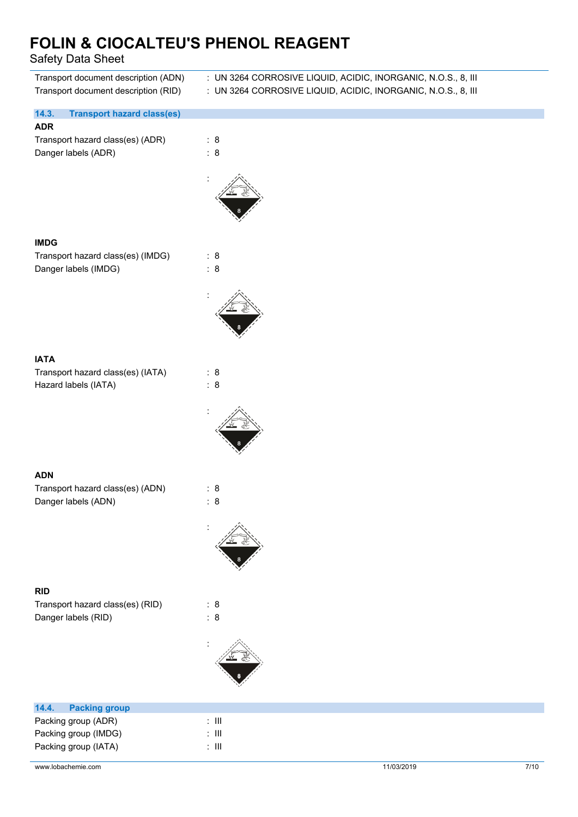Safety Data Sheet

| Transport document description (ADN)<br>Transport document description (RID) | : UN 3264 CORROSIVE LIQUID, ACIDIC, INORGANIC, N.O.S., 8, III<br>: UN 3264 CORROSIVE LIQUID, ACIDIC, INORGANIC, N.O.S., 8, III |
|------------------------------------------------------------------------------|--------------------------------------------------------------------------------------------------------------------------------|
| 14.3.<br><b>Transport hazard class(es)</b>                                   |                                                                                                                                |
| <b>ADR</b>                                                                   |                                                                                                                                |
| Transport hazard class(es) (ADR)                                             | : 8                                                                                                                            |
| Danger labels (ADR)                                                          | : 8                                                                                                                            |
|                                                                              |                                                                                                                                |
|                                                                              |                                                                                                                                |
|                                                                              |                                                                                                                                |
|                                                                              |                                                                                                                                |
|                                                                              |                                                                                                                                |
| <b>IMDG</b>                                                                  |                                                                                                                                |
| Transport hazard class(es) (IMDG)                                            | : 8                                                                                                                            |
| Danger labels (IMDG)                                                         | : 8                                                                                                                            |
|                                                                              |                                                                                                                                |
|                                                                              |                                                                                                                                |
|                                                                              |                                                                                                                                |
|                                                                              |                                                                                                                                |
|                                                                              |                                                                                                                                |
|                                                                              |                                                                                                                                |
| <b>IATA</b>                                                                  |                                                                                                                                |
| Transport hazard class(es) (IATA)                                            | : 8                                                                                                                            |
| Hazard labels (IATA)                                                         | : 8                                                                                                                            |
|                                                                              |                                                                                                                                |
|                                                                              |                                                                                                                                |
|                                                                              |                                                                                                                                |
|                                                                              |                                                                                                                                |
|                                                                              |                                                                                                                                |
| <b>ADN</b>                                                                   |                                                                                                                                |
| Transport hazard class(es) (ADN)                                             | : 8                                                                                                                            |
| Danger labels (ADN)                                                          | : 8                                                                                                                            |
|                                                                              |                                                                                                                                |
|                                                                              |                                                                                                                                |
|                                                                              |                                                                                                                                |
|                                                                              |                                                                                                                                |
|                                                                              |                                                                                                                                |
| <b>RID</b>                                                                   |                                                                                                                                |
| Transport hazard class(es) (RID)                                             | : 8                                                                                                                            |
| Danger labels (RID)                                                          | : 8                                                                                                                            |
|                                                                              |                                                                                                                                |
|                                                                              |                                                                                                                                |
|                                                                              |                                                                                                                                |
|                                                                              |                                                                                                                                |
|                                                                              |                                                                                                                                |
|                                                                              |                                                                                                                                |
| 14.4.<br><b>Packing group</b>                                                |                                                                                                                                |
| Packing group (ADR)                                                          | $\colon$ III                                                                                                                   |

Packing group (IMDG) : III Packing group (IATA) : III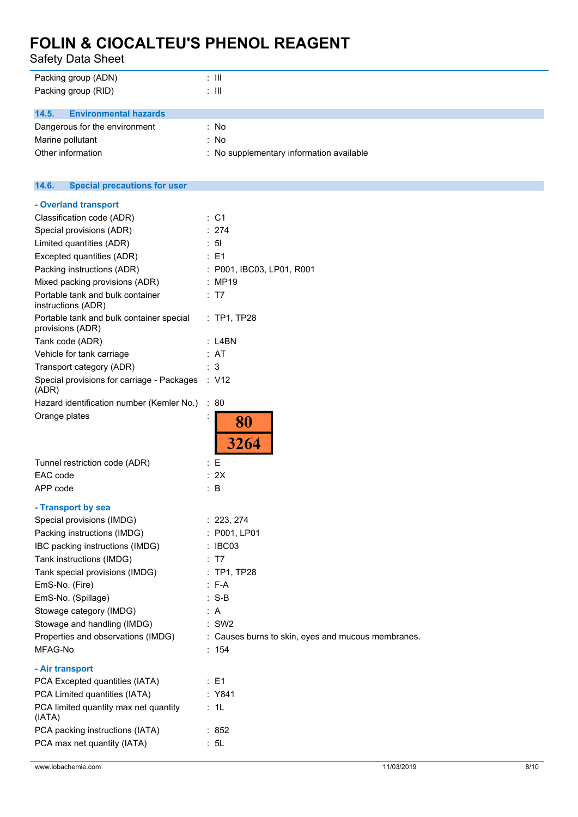Safety Data Sheet

| Packing group (ADN)                          | : III                                    |
|----------------------------------------------|------------------------------------------|
| Packing group (RID)                          | : III                                    |
|                                              |                                          |
| 14.5.<br><b>Environmental hazards</b>        |                                          |
| Dangerous for the environment                | : No                                     |
| Marine pollutant                             | : No                                     |
| Other information                            | : No supplementary information available |
|                                              |                                          |
|                                              |                                          |
| 14.6.<br><b>Special precautions for user</b> |                                          |

| - Overland transport<br>Classification code (ADR)            | : C1                                               |
|--------------------------------------------------------------|----------------------------------------------------|
| Special provisions (ADR)                                     | : 274                                              |
| Limited quantities (ADR)                                     | : 51                                               |
|                                                              | : E1                                               |
| Excepted quantities (ADR)                                    |                                                    |
| Packing instructions (ADR)                                   | : P001, IBC03, LP01, R001                          |
| Mixed packing provisions (ADR)                               | : MP19                                             |
| Portable tank and bulk container<br>instructions (ADR)       | : T7                                               |
| Portable tank and bulk container special<br>provisions (ADR) | : TP1, TP28                                        |
| Tank code (ADR)                                              | : L4BN                                             |
| Vehicle for tank carriage                                    | : AT                                               |
| Transport category (ADR)                                     | : 3                                                |
| Special provisions for carriage - Packages : V12<br>(ADR)    |                                                    |
| Hazard identification number (Kemler No.)                    | : 80                                               |
| Orange plates                                                |                                                    |
|                                                              | 80<br>3264                                         |
| Tunnel restriction code (ADR)                                | : E                                                |
| EAC code                                                     | : 2X                                               |
| APP code                                                     | $\therefore$ B                                     |
| - Transport by sea                                           |                                                    |
| Special provisions (IMDG)                                    | : 223, 274                                         |
| Packing instructions (IMDG)                                  | : P001, LP01                                       |
| IBC packing instructions (IMDG)                              | : IBC03                                            |
| Tank instructions (IMDG)                                     | : T7                                               |
| Tank special provisions (IMDG)                               | : TP1, TP28                                        |
| EmS-No. (Fire)                                               | $: F-A$                                            |
| EmS-No. (Spillage)                                           | $: S-B$                                            |
| Stowage category (IMDG)                                      | : A                                                |
| Stowage and handling (IMDG)                                  | $:$ SW2                                            |
| Properties and observations (IMDG)                           | : Causes burns to skin, eyes and mucous membranes. |
| MFAG-No                                                      | : 154                                              |
| - Air transport                                              |                                                    |
| PCA Excepted quantities (IATA)                               | :E1                                                |
| PCA Limited quantities (IATA)                                | : Y841                                             |
| PCA limited quantity max net quantity                        | : 1L                                               |
| (IATA)                                                       |                                                    |
| PCA packing instructions (IATA)                              | :852                                               |
| PCA max net quantity (IATA)                                  | : 5L                                               |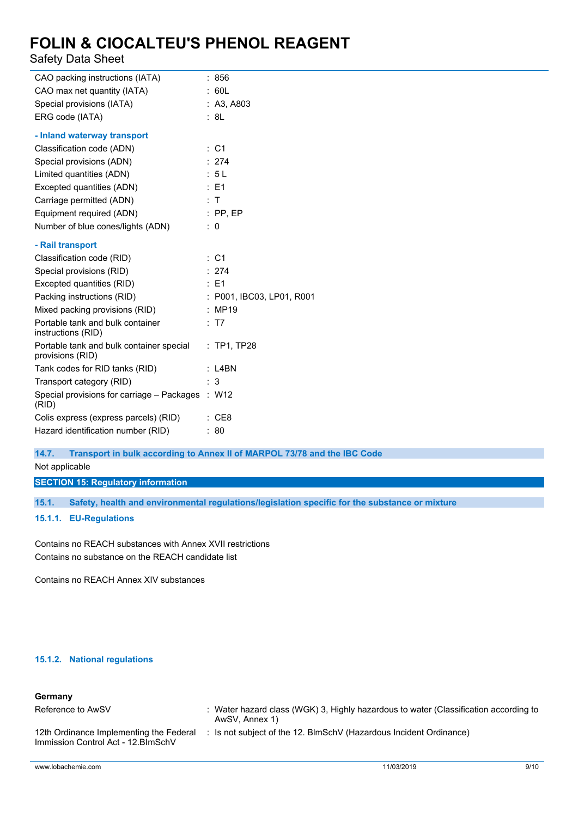### Safety Data Sheet

| CAO packing instructions (IATA)                              | : 856                     |
|--------------------------------------------------------------|---------------------------|
| CAO max net quantity (IATA)                                  | : 60L                     |
| Special provisions (IATA)                                    | : A3, A803                |
| ERG code (IATA)                                              | : 8L                      |
| - Inland waterway transport                                  |                           |
| Classification code (ADN)                                    | : C1                      |
| Special provisions (ADN)                                     | : 274                     |
| Limited quantities (ADN)                                     | : 5L                      |
| Excepted quantities (ADN)                                    | : E1                      |
| Carriage permitted (ADN)                                     | : T                       |
| Equipment required (ADN)                                     | $:$ PP, EP                |
| Number of blue cones/lights (ADN)                            | $\therefore$ 0            |
| - Rail transport                                             |                           |
| Classification code (RID)                                    | : C1                      |
| Special provisions (RID)                                     | : 274                     |
| Excepted quantities (RID)                                    | $\therefore$ E1           |
| Packing instructions (RID)                                   | : P001, IBC03, LP01, R001 |
| Mixed packing provisions (RID)                               | : MP19                    |
| Portable tank and bulk container<br>instructions (RID)       | : T7                      |
| Portable tank and bulk container special<br>provisions (RID) | $:$ TP1, TP28             |
| Tank codes for RID tanks (RID)                               | $:$ L4BN                  |
| Transport category (RID)                                     | 3                         |
| Special provisions for carriage - Packages<br>(RID)          | : W12                     |
| Colis express (express parcels) (RID)                        | $\therefore$ CE8          |
| Hazard identification number (RID)                           | : 80                      |

#### **14.7. Transport in bulk according to Annex II of MARPOL 73/78 and the IBC Code**

Not applicable

**SECTION 15: Regulatory information**

**15.1. Safety, health and environmental regulations/legislation specific for the substance or mixture**

**15.1.1. EU-Regulations**

Contains no REACH substances with Annex XVII restrictions Contains no substance on the REACH candidate list

Contains no REACH Annex XIV substances

#### **15.1.2. National regulations**

### **Germany**

| Reference to AwSV                                                              | : Water hazard class (WGK) 3, Highly hazardous to water (Classification according to<br>AwSV, Annex 1) |
|--------------------------------------------------------------------------------|--------------------------------------------------------------------------------------------------------|
| 12th Ordinance Implementing the Federal<br>Immission Control Act - 12. BlmSchV | : Is not subject of the 12. BlmSchV (Hazardous Incident Ordinance)                                     |